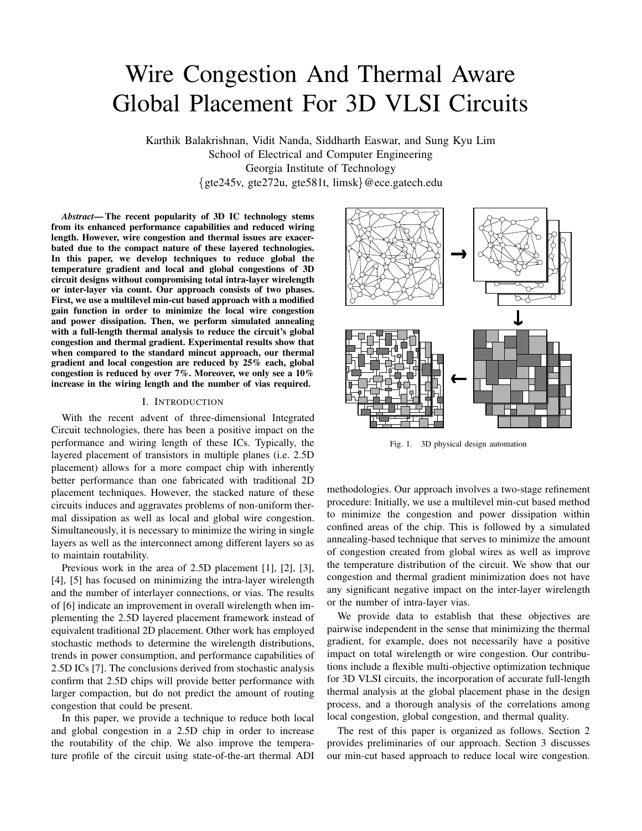# Wire Congestion And Thermal Aware Global Placement For 3D VLSI Circuits

Karthik Balakrishnan, Vidit Nanda, Siddharth Easwar, and Sung Kyu Lim School of Electrical and Computer Engineering Georgia Institute of Technology gte245v, gte272u, gte581t, limsk @ece.gatech.edu

*Abstract***— The recent popularity of 3D IC technology stems from its enhanced performance capabilities and reduced wiring length. However, wire congestion and thermal issues are exacerbated due to the compact nature of these layered technologies. In this paper, we develop techniques to reduce global the temperature gradient and local and global congestions of 3D circuit designs without compromising total intra-layer wirelength or inter-layer via count. Our approach consists of two phases. First, we use a multilevel min-cut based approach with a modified gain function in order to minimize the local wire congestion and power dissipation. Then, we perform simulated annealing with a full-length thermal analysis to reduce the circuit's global congestion and thermal gradient. Experimental results show that when compared to the standard mincut approach, our thermal gradient and local congestion are reduced by 25% each, global congestion is reduced by over 7%. Moreover, we only see a 10% increase in the wiring length and the number of vias required.**

# I. INTRODUCTION

With the recent advent of three-dimensional Integrated Circuit technologies, there has been a positive impact on the performance and wiring length of these ICs. Typically, the layered placement of transistors in multiple planes (i.e. 2.5D placement) allows for a more compact chip with inherently better performance than one fabricated with traditional 2D placement techniques. However, the stacked nature of these circuits induces and aggravates problems of non-uniform thermal dissipation as well as local and global wire congestion. Simultaneously, it is necessary to minimize the wiring in single layers as well as the interconnect among different layers so as to maintain routability.

Previous work in the area of 2.5D placement [1], [2], [3], [4], [5] has focused on minimizing the intra-layer wirelength and the number of interlayer connections, or vias. The results of [6] indicate an improvement in overall wirelength when implementing the 2.5D layered placement framework instead of equivalent traditional 2D placement. Other work has employed stochastic methods to determine the wirelength distributions, trends in power consumption, and performance capabilities of 2.5D ICs [7]. The conclusions derived from stochastic analysis confirm that 2.5D chips will provide better performance with larger compaction, but do not predict the amount of routing congestion that could be present.

In this paper, we provide a technique to reduce both local and global congestion in a 2.5D chip in order to increase the routability of the chip. We also improve the temperature profile of the circuit using state-of-the-art thermal ADI



Fig. 1. 3D physical design automation

methodologies. Our approach involves a two-stage refinement procedure: Initially, we use a multilevel min-cut based method to minimize the congestion and power dissipation within confined areas of the chip. This is followed by a simulated annealing-based technique that serves to minimize the amount of congestion created from global wires as well as improve the temperature distribution of the circuit. We show that our congestion and thermal gradient minimization does not have any significant negative impact on the inter-layer wirelength or the number of intra-layer vias.

We provide data to establish that these objectives are pairwise independent in the sense that minimizing the thermal gradient, for example, does not necessarily have a positive impact on total wirelength or wire congestion. Our contributions include a flexible multi-objective optimization technique for 3D VLSI circuits, the incorporation of accurate full-length thermal analysis at the global placement phase in the design process, and a thorough analysis of the correlations among local congestion, global congestion, and thermal quality.

The rest of this paper is organized as follows. Section 2 provides preliminaries of our approach. Section 3 discusses our min-cut based approach to reduce local wire congestion.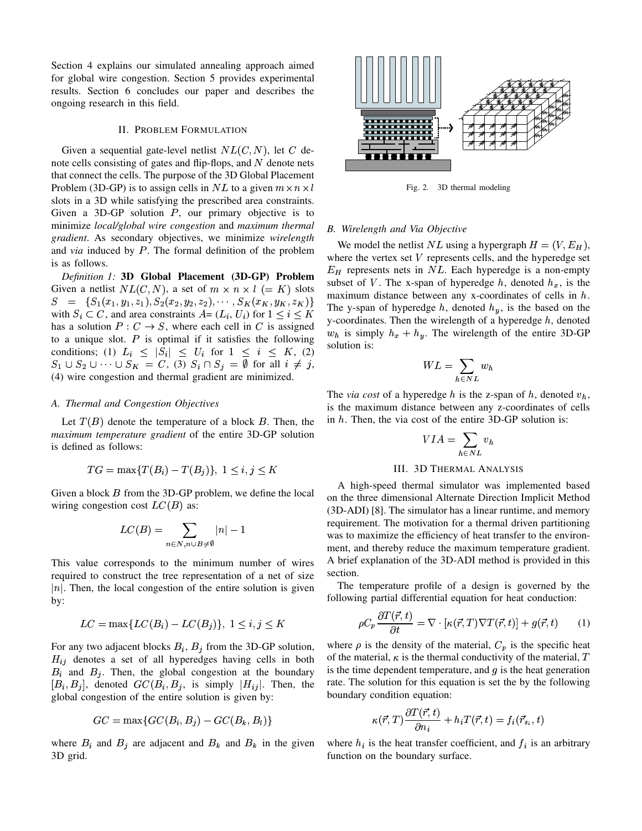Section 4 explains our simulated annealing approach aimed for global wire congestion. Section 5 provides experimental results. Section 6 concludes our paper and describes the ongoing research in this field.

#### II. PROBLEM FORMULATION

Given a sequential gate-level netlist  $NL(C, N)$ , let C denote cells consisting of gates and flip-flops, and  $N$  denote nets that connect the cells. The purpose of the 3D Global Placement Problem (3D-GP) is to assign cells in NL to a given  $m \times n \times$ slots in a 3D while satisfying the prescribed area constraints. Given a 3D-GP solution  $P$ , our primary objective is to minimize *local/global wire congestion* and *maximum thermal gradient*. As secondary objectives, we minimize *wirelength* and *via* induced by P. The formal definition of the problem is as follows.

*Definition 1:* **3D Global Placement (3D-GP) Problem** Given a netlist  $NL(C, N)$ , a set of  $m \times n \times l$  (= K) slots  $S = \{S_1(x_1, y_1, z_1), S_2(x_2, y_2, z_2), \cdots, S_k(x_k, y_k, z_k)\}$ with  $S_i \subset C$ , and area constraints  $A = (L_i, U_i)$  for  $1 \le i \le K$  and  $\sum_{i=1}^{K} S_i$ has a solution  $P: C \to S$ , where each cell in C is assigned to a unique slot.  $P$  is optimal if it satisfies the following conditions; (1)  $L_i \leq |S_i| \leq U_i$  for  $1 \leq i \leq K$ , (2)  $S_1 \cup S_2 \cup \cdots \cup S_K = C, (3)$   $S_i \cap S_j = \emptyset$  for all  $i \neq j$ , (4) wire congestion and thermal gradient are minimized.

# *A. Thermal and Congestion Objectives*

Let  $T(B)$  denote the temperature of a block B. Then, the *maximum temperature gradient* of the entire 3D-GP solution is defined as follows:

$$
TG = \max\{T(B_i) - T(B_j)\}, \ 1 \le i, j \le K
$$

Given a block  $B$  from the 3D-GP problem, we define the local wiring congestion cost  $LC(B)$  as:

$$
LC(B) = \sum_{n \in N, n \cup B \neq \emptyset} |n| - 1
$$

This value corresponds to the minimum number of wires required to construct the tree representation of a net of size  $\vert n \vert$ . Then, the local congestion of the entire solution is given by:

$$
LC = \max\{LC(B_i) - LC(B_j)\}, \ 1 \le i, j \le K
$$

For any two adjacent blocks  $B_i$ ,  $B_j$  from the 3D-GP solution,  $H_{ij}$  denotes a set of all hyperedges having cells in both  $B_i$  and  $B_j$ . Then, the global congestion at the boundary  $[B_i, B_j]$ , denoted  $GC(B_i, B_j)$ , is simply  $|H_{ij}|$ . Then, the global congestion of the entire solution is given by:

$$
GC = \max\{GC(B_i, B_j) - GC(B_k, B_l)\}
$$

where  $B_i$  and  $B_j$  are adjacent and  $B_k$  and  $B_k$  in the given 3D grid.



Fig. 2. 3D thermal modeling

# *B. Wirelength and Via Objective*

 $\sum_{k=1}^{n}$  The y-span of hyperedge h, denoted  $h_y$ , is the based on the We model the netlist NL using a hypergraph  $H = (V, E_H)$ , where the vertex set  $V$  represents cells, and the hyperedge set  $E_H$  represents nets in NL. Each hyperedge is a non-empty subset of V. The x-span of hyperedge  $h$ , denoted  $h_x$ , is the maximum distance between any x-coordinates of cells in  $h$ . y-coordinates. Then the wirelength of a hyperedge  $h$ , denoted  $w_h$  is simply  $h_x + h_y$ . The wirelength of the entire 3D-GP solution is:

$$
WL = \sum_{h \in NL} w_h
$$

The *via cost* of a hyperedge  $h$  is the z-span of  $h$ , denoted  $v_h$ , is the maximum distance between any z-coordinates of cells in  $h$ . Then, the via cost of the entire 3D-GP solution is:

$$
VIA = \sum_{h \in NL} v_h
$$

# III. 3D THERMAL ANALYSIS

A high-speed thermal simulator was implemented based on the three dimensional Alternate Direction Implicit Method (3D-ADI) [8]. The simulator has a linear runtime, and memory requirement. The motivation for a thermal driven partitioning was to maximize the efficiency of heat transfer to the environment, and thereby reduce the maximum temperature gradient. A brief explanation of the 3D-ADI method is provided in this section.

The temperature profile of a design is governed by the following partial differential equation for heat conduction:

$$
\rho C_p \frac{\partial T(\vec{r},t)}{\partial t} = \nabla \cdot [\kappa(\vec{r},T) \nabla T(\vec{r},t)] + g(\vec{r},t) \tag{1}
$$

where  $\rho$  is the density of the material,  $C_p$  is the specific heat of the material,  $\kappa$  is the thermal conductivity of the material, T is the time dependent temperature, and  $g$  is the heat generation rate. The solution for this equation is set the by the following boundary condition equation:

$$
\kappa(\vec{r},T)\frac{\partial T(\vec{r},t)}{\partial n_i} + h_i T(\vec{r},t) = f_i(\vec{r}_{s_i},t)
$$

where  $h_i$  is the heat transfer coefficient, and  $f_i$  is an arbitrary function on the boundary surface.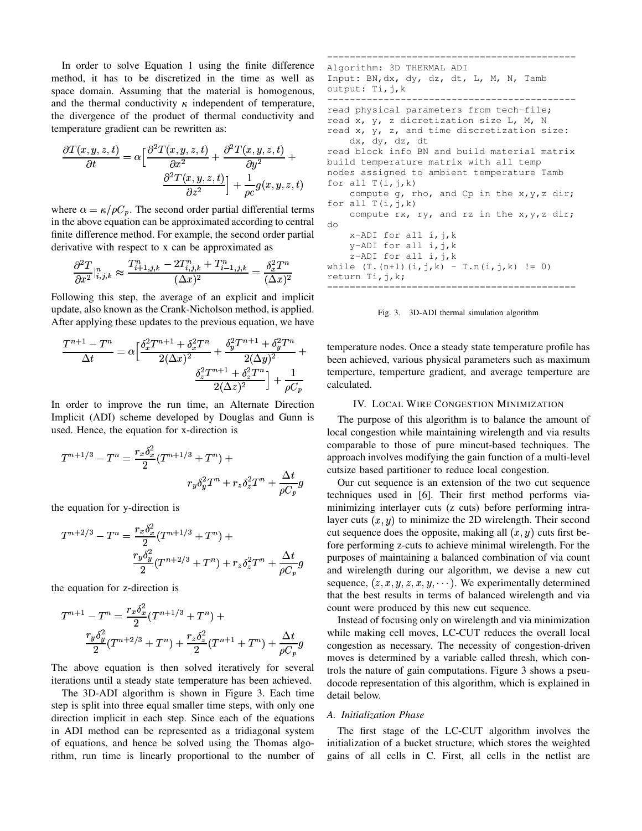In order to solve Equation 1 using the finite difference method, it has to be discretized in the time as well as space domain. Assuming that the material is homogenous, and the thermal conductivity  $\kappa$  independent of temperature, the divergence of the product of thermal conductivity and temperature gradient can be rewritten as:

$$
\frac{\partial T(x,y,z,t)}{\partial t} = \alpha \left[ \frac{\partial^2 T(x,y,z,t)}{\partial x^2} + \frac{\partial^2 T(x,y,z,t)}{\partial y^2} + \frac{\partial^2 T(x,y,z,t)}{\partial z^2} \right] + \frac{1}{\rho c} g(x,y,z,t)
$$

where  $\alpha = \kappa / \rho C_p$ . The second order partial differential terms in the above equation can be approximated according to central finite difference method. For example, the second order partial derivative with respect to x can be approximated as

$$
\frac{\partial^2 T}{\partial x^2}|_{i,j,k}^n \approx \frac{T_{i+1,j,k}^n - 2T_{i,j,k}^n + T_{i-1,j,k}^n}{(\Delta x)^2} = \frac{\delta_x^2 T^n}{(\Delta x)^2}
$$

Following this step, the average of an explicit and implicit update, also known as the Crank-Nicholson method, is applied. After applying these updates to the previous equation, we have

$$
\frac{T^{n+1}-T^n}{\Delta t} = \alpha \Big[ \frac{\delta_x^2 T^{n+1} + \delta_x^2 T^n}{2(\Delta x)^2} + \frac{\delta_y^2 T^{n+1} + \delta_y^2 T^n}{2(\Delta y)^2} + \text{ then}
$$
  

$$
\frac{\delta_z^2 T^{n+1} + \delta_z^2 T^n}{2(\Delta z)^2} \Big] + \frac{1}{\rho C_p} \qquad \text{ten}
$$

In order to improve the run time, an Alternate Direction Implicit (ADI) scheme developed by Douglas and Gunn is used. Hence, the equation for x-direction is

$$
T^{n+1/3} - T^n = \frac{r_x \delta_x^2}{2} (T^{n+1/3} + T^n) + \n\begin{array}{c}\n\text{co}\\
\text{app}\\
r_y \delta_y^2 T^n + r_z \delta_z^2 T^n + \frac{\Delta t}{\rho C_p} g\n\end{array}
$$

the equation for y-direction is

$$
T^{n+2/3} - T^n = \frac{r_x \delta_x^2}{2} (T^{n+1/3} + T^n) +
$$
  

$$
\frac{r_y \delta_y^2}{2} (T^{n+2/3} + T^n) + r_z \delta_z^2 T^n + \frac{\Delta t}{\rho C_p} g
$$

the equation for z-direction is

$$
T^{n+1} - T^n = \frac{r_x \delta_x^2}{2} (T^{n+1/3} + T^n) +
$$
  

$$
\frac{r_y \delta_y^2}{2} (T^{n+2/3} + T^n) + \frac{r_z \delta_z^2}{2} (T^{n+1} + T^n) + \frac{\Delta t}{\rho C_p} g
$$

The above equation is then solved iteratively for several iterations until a steady state temperature has been achieved.

The 3D-ADI algorithm is shown in Figure 3. Each time step is split into three equal smaller time steps, with only one direction implicit in each step. Since each of the equations in ADI method can be represented as a tridiagonal system of equations, and hence be solved using the Thomas algorithm, run time is linearly proportional to the number of

```
^\top build temperature matrix with all temp
\frac{2}{x}T^n while (T.(n+1) (i,j,k) - T.n(i,j,k) != 0)============================================
         Algorithm: 3D THERMAL ADI
         Input: BN,dx, dy, dz, dt, L, M, N, Tamb
         output: Ti,j,k
          --------------------------------------------
          read physical parameters from tech-file;
          read x, y, z dicretization size L, M, N
          read x, y, z, and time discretization size:
             dx, dy, dz, dt
          read block info BN and build material matrix
         nodes assigned to ambient temperature Tamb
          for all T(i,j,k)compute q, rho, and Cp in the x, y, z dir;
          for all T(i, j, k)compute rx, ry, and rz in the x, y, z dir;
         do
              x-ADI for all i, j, k
              y-ADI for all i,j,k
              z-ADI for all i, j, kreturn Ti,j,k;
          ============================================
```
Fig. 3. 3D-ADI thermal simulation algorithm

 $\bar{y}^T$  temperature nodes. Once a steady state temperature profile has  $\frac{1}{2(\Delta y)^2}$  been achieved, various physical parameters such as maximum  $\overline{\rho C_n}$  calculated. temperture, temperture gradient, and average temperture are

# IV. LOCAL WIRE CONGESTION MINIMIZATION

The purpose of this algorithm is to balance the amount of local congestion while maintaining wirelength and via results comparable to those of pure mincut-based techniques. The approach involves modifying the gain function of a multi-level cutsize based partitioner to reduce local congestion.

 $pC_p^{\sigma}$  techniques used in [6]. Their first method performs via- $\int \rho C_p^3$  and wirelength during our algorithm, we devise a new cut Our cut sequence is an extension of the two cut sequence minimizing interlayer cuts (z cuts) before performing intralayer cuts  $(x, y)$  to minimize the 2D wirelength. Their second cut sequence does the opposite, making all  $(x, y)$  cuts first before performing z-cuts to achieve minimal wirelength. For the purposes of maintaining a balanced combination of via count sequence,  $(z, x, y, z, x, y, \cdots)$ . We experimentally determined that the best results in terms of balanced wirelength and via count were produced by this new cut sequence.

 $x(t) + \frac{1}{\rho C_n}g$  congestion as necessary. The necessity of congestion-driven Instead of focusing only on wirelength and via minimization while making cell moves, LC-CUT reduces the overall local moves is determined by a variable called thresh, which controls the nature of gain computations. Figure 3 shows a pseudocode representation of this algorithm, which is explained in detail below.

# *A. Initialization Phase*

The first stage of the LC-CUT algorithm involves the initialization of a bucket structure, which stores the weighted gains of all cells in C. First, all cells in the netlist are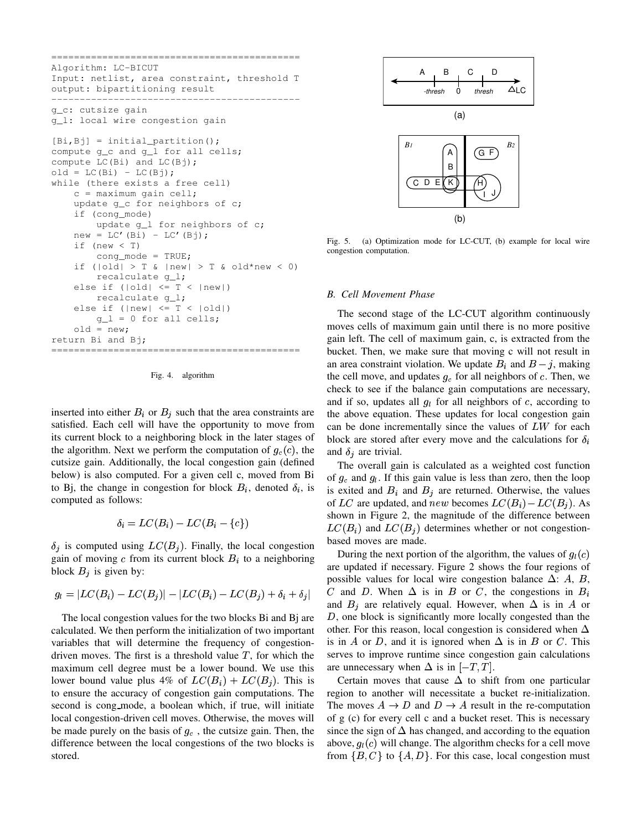```
============================================
Algorithm: LC-BICUT
Input: netlist, area constraint, threshold T
output: bipartitioning result
--------------------------------------------
g_c: cutsize gain
g_l: local wire congestion gain
[Bi,Bj] = initial-partition();
compute g_c and g_l for all cells;
compute LC(Bi) and LC(Bj);
old = LC(Bi) - LC(Bj);while (there exists a free cell)
    c = maximum gain cell;
    update g_c for neighbors of c;
    if (cong_mode)
        update g_l for neighbors of c;
    new = LC' (Bi) - LC' (Bj);if (new < T)
        cong_mode = TRUE;
    if (\vertold\vert > T & \vertnew\vert > T & old*new < 0)
        recalculate g_l;
    else if (|old| \leq T < |new|)recalculate g_l;
    else if (|new| \leq T < |old|)g_l = 0 for all cells;
    old = new;
return Bi and Bj;
============================================
```
Fig. 4. algorithm

inserted into either  $B_i$  or  $B_j$  such that the area constraints are satisfied. Each cell will have the opportunity to move from its current block to a neighboring block in the later stages of the algorithm. Next we perform the computation of  $g_c(c)$ , the cutsize gain. Additionally, the local congestion gain (defined below) is also computed. For a given cell c, moved from Bi to Bj, the change in congestion for block  $B_i$ , denoted  $\delta_i$ , is computed as follows:

$$
\delta_i = LC(B_i) - LC(B_i - \{c\})
$$

gain of moving  $c$  from its current block  $B_i$  to a neighboring is computed using  $LC(B_i)$ . Finally, the local congestion block  $B_j$  is given by:

$$
g_l = |LC(B_i) - LC(B_j)| - |LC(B_i) - LC(B_j) + \delta_i + \delta_j|
$$

The local congestion values for the two blocks Bi and Bj are calculated. We then perform the initialization of two important variables that will determine the frequency of congestiondriven moves. The first is a threshold value  $T$ , for which the maximum cell degree must be a lower bound. We use this lower bound value plus 4% of  $LC(B_i) + LC(B_j)$ . This is to ensure the accuracy of congestion gain computations. The second is cong mode, a boolean which, if true, will initiate local congestion-driven cell moves. Otherwise, the moves will be made purely on the basis of  $g_c$ , the cutsize gain. Then, the difference between the local congestions of the two blocks is stored.



Fig. 5. (a) Optimization mode for LC-CUT, (b) example for local wire congestion computation.

#### *B. Cell Movement Phase*

The second stage of the LC-CUT algorithm continuously moves cells of maximum gain until there is no more positive gain left. The cell of maximum gain, c, is extracted from the bucket. Then, we make sure that moving c will not result in an area constraint violation. We update  $B_i$  and  $B - j$ , making the cell move, and updates  $g_c$  for all neighbors of c. Then, we check to see if the balance gain computations are necessary, and if so, updates all  $g_l$  for all neighbors of c, according to the above equation. These updates for local congestion gain the above equation. These updates for local congestion gain can be done incrementally since the values of  $LW$  for each block are stored after every move and the calculations for  $\delta_i$ and  $\delta_i$  are trivial.

The overall gain is calculated as a weighted cost function of  $g_c$  and  $g_l$ . If this gain value is less than zero, then the loop is exited and  $B_i$  and  $B_j$  are returned. Otherwise, the values of LC are updated, and new becomes  $LC(B_i) - LC(B_j)$ . As shown in Figure 2, the magnitude of the difference between  $LC(B_i)$  and  $LC(B_j)$  determines whether or not congestionbased moves are made.

 $\blacksquare$ and  $B_i$  are relatively equal. However, when  $\Delta$  is in A or  $\Box$  C and D. When  $\Delta$  is in B or C, the congestions in  $B_i$ During the next portion of the algorithm, the values of  $g_l(c)$ are updated if necessary. Figure 2 shows the four regions of possible values for local wire congestion balance  $\Delta$ : A, B,  $D$ , one block is significantly more locally congested than the other. For this reason, local congestion is considered when  $\Delta$ is in A or D, and it is ignored when  $\Delta$  is in B or C. This serves to improve runtime since congestion gain calculations are unnecessary when  $\Delta$  is in  $[-T, T]$ .

Certain moves that cause  $\Delta$  to shift from one particular region to another will necessitate a bucket re-initialization. The moves  $A \to D$  and  $D \to A$  result in the re-computation of g (c) for every cell c and a bucket reset. This is necessary since the sign of  $\Delta$  has changed, and according to the equation above,  $g_l(c)$  will change. The algorithm checks for a cell move from  $\{B, C\}$  to  $\{A, D\}$ . For this case, local congestion must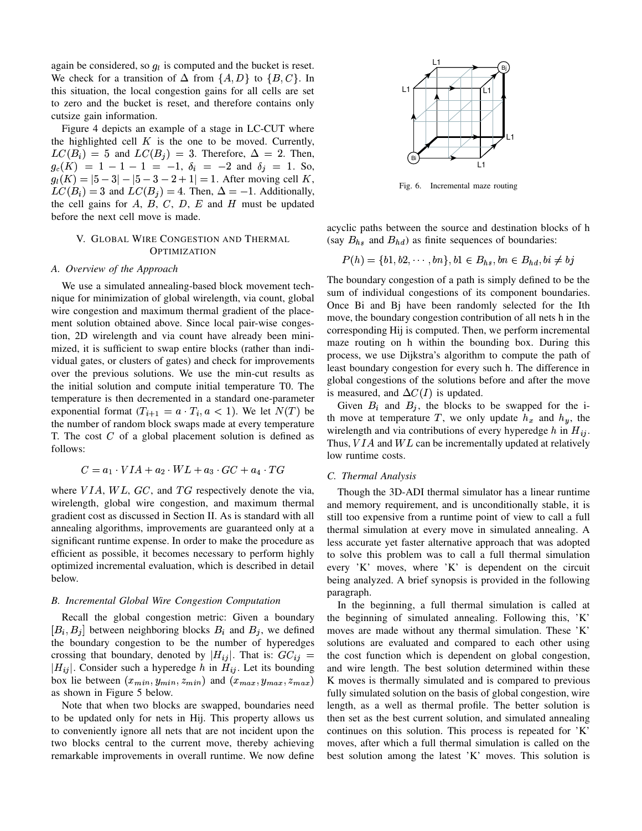again be considered, so  $q_l$  is computed and the bucket is reset. We check for a transition of  $\Delta$  from  $\{A, D\}$  to  $\{B, C\}$ . In this situation, the local congestion gains for all cells are set to zero and the bucket is reset, and therefore contains only cutsize gain information.

Figure 4 depicts an example of a stage in LC-CUT where the highlighted cell  $K$  is the one to be moved. Currently,  $LC(B_i) = 5$  and  $LC(B_i) = 3$ . Therefore,  $\Delta = 2$ . Then,  $g_c(K) = 1 - 1 - 1 = -1, \delta_i = -2 \text{ and } \delta_j = 1.$  So,  $g_l(K) = |5-3|-|5-3-2+1| = 1$ . After moving cell K,  $LC(B_i) = 3$  and  $LC(B_j) = 4$ . Then,  $\Delta = -1$ . Additionally, the cell gains for  $A$ ,  $B$ ,  $C$ ,  $D$ ,  $E$  and  $H$  must be updated before the next cell move is made.

# V. GLOBAL WIRE CONGESTION AND THERMAL **OPTIMIZATION**

#### *A. Overview of the Approach*

We use a simulated annealing-based block movement technique for minimization of global wirelength, via count, global wire congestion and maximum thermal gradient of the placement solution obtained above. Since local pair-wise congestion, 2D wirelength and via count have already been minimized, it is sufficient to swap entire blocks (rather than individual gates, or clusters of gates) and check for improvements over the previous solutions. We use the min-cut results as the initial solution and compute initial temperature T0. The temperature is then decremented in a standard one-parameter exponential format  $(T_{i+1} = a \cdot T_i, a < 1)$ . We let  $N(T)$  be the number of random block swaps made at every temperature T. The cost  $C$  of a global placement solution is defined as follows:

$$
C = a_1 \cdot VIA + a_2 \cdot WL + a_3 \cdot GC + a_4 \cdot TG
$$

where  $VIA, WL, GC,$  and  $TG$  respectively denote the via, wirelength, global wire congestion, and maximum thermal gradient cost as discussed in Section II. As is standard with all annealing algorithms, improvements are guaranteed only at a significant runtime expense. In order to make the procedure as efficient as possible, it becomes necessary to perform highly optimized incremental evaluation, which is described in detail below.

# *B. Incremental Global Wire Congestion Computation*

Recall the global congestion metric: Given a boundary  $[B_i, B_j]$  between neighboring blocks  $B_i$  and  $B_j$ , we defined the boundary congestion to be the number of hyperedges crossing that boundary, denoted by  $|H_{ij}|$ . That is:  $GC_{ij}$  =  $|H_{ij}|$ . Consider such a hyperedge h in  $H_{ij}$ . Let its bounding box lie between  $(x_{min}, y_{min}, z_{min})$  and  $(x_{max}, y_{max}, z_{max})$ as shown in Figure 5 below.

Note that when two blocks are swapped, boundaries need to be updated only for nets in Hij. This property allows us to conveniently ignore all nets that are not incident upon the two blocks central to the current move, thereby achieving remarkable improvements in overall runtime. We now define



Fig. 6. Incremental maze routing

acyclic paths between the source and destination blocks of h (say  $B_{hs}$  and  $B_{hd}$ ) as finite sequences of boundaries:

$$
P(h) = \{b1, b2, \cdots, bn\}, b1 \in B_{hs}, bn \in B_{hd}, bi \neq bj
$$

The boundary congestion of a path is simply defined to be the sum of individual congestions of its component boundaries. Once Bi and Bj have been randomly selected for the Ith move, the boundary congestion contribution of all nets h in the corresponding Hij is computed. Then, we perform incremental maze routing on h within the bounding box. During this process, we use Dijkstra's algorithm to compute the path of least boundary congestion for every such h. The difference in global congestions of the solutions before and after the move is measured, and  $\Delta C(I)$  is updated.

Given  $B_i$  and  $B_j$ , the blocks to be swapped for the ith move at temperature T, we only update  $h_x$  and  $h_y$ , the wirelength and via contributions of every hyperedge  $h$  in  $H_{ij}$ . wirelength and via contributions of every hyperedge  $h$  in  $H_{ij}$ .<br>Thus,  $VIA$  and  $WL$  can be incrementally updated at relatively low runtime costs.

# $\begin{array}{ccc}\n\cdot & \alpha_4 & \cdot \ \cdot \\
\cdot & \alpha_4 & \cdot \ \cdot\n\end{array}$  *C. Thermal Analysis*

Though the 3D-ADI thermal simulator has a linear runtime and memory requirement, and is unconditionally stable, it is still too expensive from a runtime point of view to call a full thermal simulation at every move in simulated annealing. A less accurate yet faster alternative approach that was adopted to solve this problem was to call a full thermal simulation every 'K' moves, where 'K' is dependent on the circuit being analyzed. A brief synopsis is provided in the following paragraph.

In the beginning, a full thermal simulation is called at the beginning of simulated annealing. Following this, 'K' moves are made without any thermal simulation. These 'K' solutions are evaluated and compared to each other using the cost function which is dependent on global congestion, and wire length. The best solution determined within these K moves is thermally simulated and is compared to previous fully simulated solution on the basis of global congestion, wire length, as a well as thermal profile. The better solution is then set as the best current solution, and simulated annealing continues on this solution. This process is repeated for 'K' moves, after which a full thermal simulation is called on the best solution among the latest 'K' moves. This solution is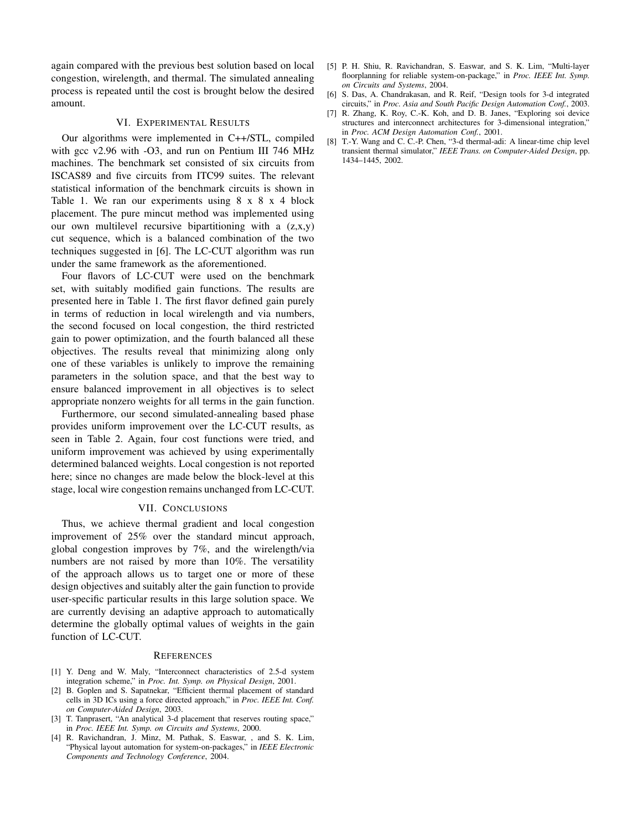again compared with the previous best solution based on local congestion, wirelength, and thermal. The simulated annealing process is repeated until the cost is brought below the desired amount.

# VI. EXPERIMENTAL RESULTS

Our algorithms were implemented in C++/STL, compiled with gcc v2.96 with -O3, and run on Pentium III 746 MHz machines. The benchmark set consisted of six circuits from ISCAS89 and five circuits from ITC99 suites. The relevant statistical information of the benchmark circuits is shown in Table 1. We ran our experiments using  $8 \times 8 \times 4$  block placement. The pure mincut method was implemented using our own multilevel recursive bipartitioning with a  $(z, x, y)$ cut sequence, which is a balanced combination of the two techniques suggested in [6]. The LC-CUT algorithm was run under the same framework as the aforementioned.

Four flavors of LC-CUT were used on the benchmark set, with suitably modified gain functions. The results are presented here in Table 1. The first flavor defined gain purely in terms of reduction in local wirelength and via numbers, the second focused on local congestion, the third restricted gain to power optimization, and the fourth balanced all these objectives. The results reveal that minimizing along only one of these variables is unlikely to improve the remaining parameters in the solution space, and that the best way to ensure balanced improvement in all objectives is to select appropriate nonzero weights for all terms in the gain function.

Furthermore, our second simulated-annealing based phase provides uniform improvement over the LC-CUT results, as seen in Table 2. Again, four cost functions were tried, and uniform improvement was achieved by using experimentally determined balanced weights. Local congestion is not reported here; since no changes are made below the block-level at this stage, local wire congestion remains unchanged from LC-CUT.

# VII. CONCLUSIONS

Thus, we achieve thermal gradient and local congestion improvement of 25% over the standard mincut approach, global congestion improves by 7%, and the wirelength/via numbers are not raised by more than 10%. The versatility of the approach allows us to target one or more of these design objectives and suitably alter the gain function to provide user-specific particular results in this large solution space. We are currently devising an adaptive approach to automatically determine the globally optimal values of weights in the gain function of LC-CUT.

# **REFERENCES**

- [1] Y. Deng and W. Maly, "Interconnect characteristics of 2.5-d system integration scheme," in *Proc. Int. Symp. on Physical Design*, 2001.
- [2] B. Goplen and S. Sapatnekar, "Efficient thermal placement of standard cells in 3D ICs using a force directed approach," in *Proc. IEEE Int. Conf. on Computer-Aided Design*, 2003.
- [3] T. Tanprasert, "An analytical 3-d placement that reserves routing space," in *Proc. IEEE Int. Symp. on Circuits and Systems*, 2000.
- [4] R. Ravichandran, J. Minz, M. Pathak, S. Easwar, , and S. K. Lim, "Physical layout automation for system-on-packages," in *IEEE Electronic Components and Technology Conference*, 2004.
- [5] P. H. Shiu, R. Ravichandran, S. Easwar, and S. K. Lim, "Multi-layer floorplanning for reliable system-on-package," in *Proc. IEEE Int. Symp. on Circuits and Systems*, 2004.
- [6] S. Das, A. Chandrakasan, and R. Reif, "Design tools for 3-d integrated circuits," in *Proc. Asia and South Pacific Design Automation Conf.*, 2003.
- [7] R. Zhang, K. Roy, C.-K. Koh, and D. B. Janes, "Exploring soi device structures and interconnect architectures for 3-dimensional integration," in *Proc. ACM Design Automation Conf.*, 2001.
- [8] T.-Y. Wang and C. C.-P. Chen, "3-d thermal-adi: A linear-time chip level transient thermal simulator," *IEEE Trans. on Computer-Aided Design*, pp. 1434–1445, 2002.